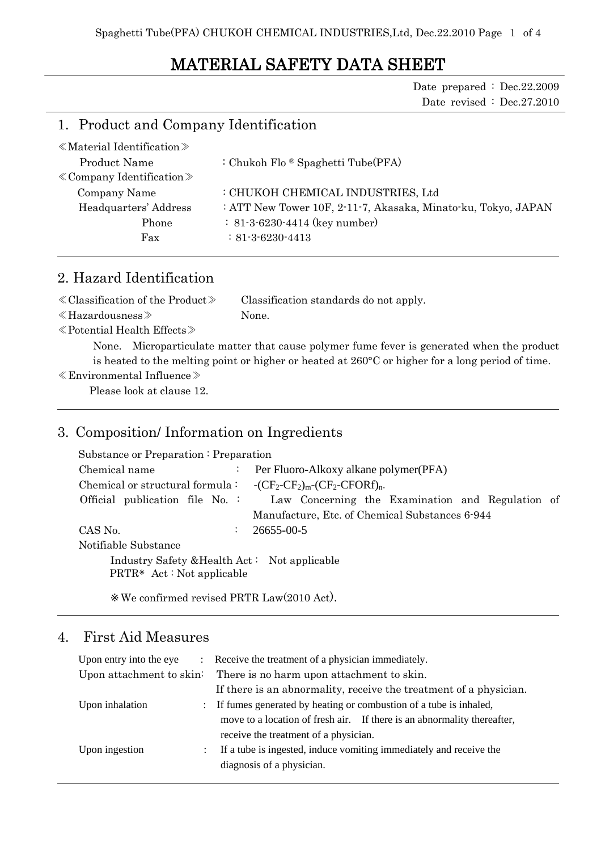# MATERIAL SAFETY DATA SHEET

Date prepared : Dec.22.2009 Date revised : Dec.27.2010

### 1. Product and Company Identification

| $\ll$ Material Identification $\gg$ |                                                               |
|-------------------------------------|---------------------------------------------------------------|
| Product Name                        | : Chukoh Flo $\mathcal{B}$ Spaghetti Tube(PFA)                |
| $\&$ Company Identification $\&$    |                                                               |
| Company Name                        | : CHUKOH CHEMICAL INDUSTRIES, Ltd                             |
| Headquarters' Address               | : ATT New Tower 10F, 2-11-7, Akasaka, Minato-ku, Tokyo, JAPAN |
| Phone                               | $: 81-3-6230-4414$ (key number)                               |
| Fax                                 | $: 81 - 3 - 6230 - 4413$                                      |
|                                     |                                                               |

### 2. Hazard Identification

| $\ll$ Classification of the Product $\gg$ | Classification standards do not apply. |
|-------------------------------------------|----------------------------------------|
| $\ll$ Hazardousness $\gg$                 | None.                                  |

≪Potential Health Effects≫

None. Microparticulate matter that cause polymer fume fever is generated when the product is heated to the melting point or higher or heated at 260°C or higher for a long period of time.

#### ≪Environmental Influence≫

Please look at clause 12.

#### 3. Composition/ Information on Ingredients

| Substance or Preparation: Preparation                                    |                |                                                  |
|--------------------------------------------------------------------------|----------------|--------------------------------------------------|
| Chemical name                                                            | ÷              | Per Fluoro-Alkoxy alkane polymer (PFA)           |
| Chemical or structural formula : $- (CF_2-CF_2)_{m}-(CF_2-CFORf)_{n}$ .  |                |                                                  |
| Official publication file No.                                            |                | Law Concerning the Examination and Regulation of |
|                                                                          |                | Manufacture, Etc. of Chemical Substances 6-944   |
| CAS No.                                                                  | $\mathbb{Z}^n$ | 26655-00-5                                       |
| Notifiable Substance                                                     |                |                                                  |
| Industry Safety & Health Act: Not applicable<br>PRTR Act: Not applicable |                |                                                  |

We confirmed revised PRTR Law(2010 Act).

### 4. First Aid Measures

| Upon entry into the eye<br>$\mathcal{L}$ | Receive the treatment of a physician immediately.                       |  |
|------------------------------------------|-------------------------------------------------------------------------|--|
| Upon attachment to skin:                 | There is no harm upon attachment to skin.                               |  |
|                                          | If there is an abnormality, receive the treatment of a physician.       |  |
| Upon inhalation                          | : If fumes generated by heating or combustion of a tube is inhaled,     |  |
|                                          | move to a location of fresh air. If there is an abnormality thereafter, |  |
|                                          | receive the treatment of a physician.                                   |  |
| Upon ingestion<br>$\mathcal{L}$          | If a tube is ingested, induce vomiting immediately and receive the      |  |
|                                          | diagnosis of a physician.                                               |  |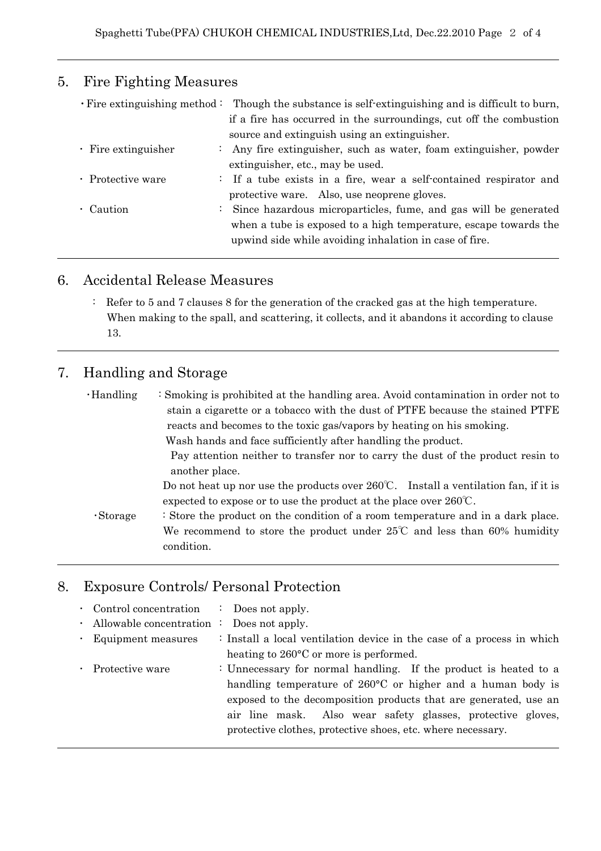# 5. Fire Fighting Measures

|                           | $\cdot$ Fire extinguishing method: Though the substance is self-extinguishing and is difficult to burn, |
|---------------------------|---------------------------------------------------------------------------------------------------------|
|                           | if a fire has occurred in the surroundings, cut off the combustion                                      |
|                           | source and extinguish using an extinguisher.                                                            |
| $\cdot$ Fire extinguisher | : Any fire extinguisher, such as water, foam extinguisher, powder                                       |
|                           | extinguisher, etc., may be used.                                                                        |
| · Protective ware         | : If a tube exists in a fire, wear a self-contained respirator and                                      |
|                           | protective ware. Also, use neoprene gloves.                                                             |
| • Caution                 | : Since hazardous microparticles, fume, and gas will be generated                                       |
|                           | when a tube is exposed to a high temperature, escape towards the                                        |
|                           | upwind side while avoiding inhalation in case of fire.                                                  |

## 6. Accidental Release Measures

: Refer to 5 and 7 clauses 8 for the generation of the cracked gas at the high temperature. When making to the spall, and scattering, it collects, and it abandons it according to clause 13.

# 7. Handling and Storage

| $\cdot$ Handling | : Smoking is prohibited at the handling area. Avoid contamination in order not to                                                                                                  |
|------------------|------------------------------------------------------------------------------------------------------------------------------------------------------------------------------------|
|                  | stain a cigarette or a tobacco with the dust of PTFE because the stained PTFE                                                                                                      |
|                  | reacts and becomes to the toxic gas/vapors by heating on his smoking.                                                                                                              |
|                  | Wash hands and face sufficiently after handling the product.                                                                                                                       |
|                  | Pay attention neither to transfer nor to carry the dust of the product resin to<br>another place.                                                                                  |
|                  | Do not heat up nor use the products over $260^{\circ}\text{C}$ . Install a ventilation fan, if it is<br>expected to expose or to use the product at the place over $260^{\circ}$ . |
| $\cdot$ Storage  | : Store the product on the condition of a room temperature and in a dark place.                                                                                                    |
|                  | We recommend to store the product under $25^{\circ}$ and less than 60% humidity                                                                                                    |
|                  | condition.                                                                                                                                                                         |
|                  |                                                                                                                                                                                    |

# 8. Exposure Controls/ Personal Protection

| • Control concentration $\therefore$ Does not apply. |                                                                        |
|------------------------------------------------------|------------------------------------------------------------------------|
| $\cdot$ Allowable concentration :                    | Does not apply.                                                        |
| · Equipment measures                                 | : Install a local ventilation device in the case of a process in which |
|                                                      | heating to 260°C or more is performed.                                 |
| Protective ware                                      | : Unnecessary for normal handling. If the product is heated to a       |
|                                                      | handling temperature of 260°C or higher and a human body is            |
|                                                      | exposed to the decomposition products that are generated, use an       |
|                                                      | air line mask. Also wear safety glasses, protective gloves,            |
|                                                      | protective clothes, protective shoes, etc. where necessary.            |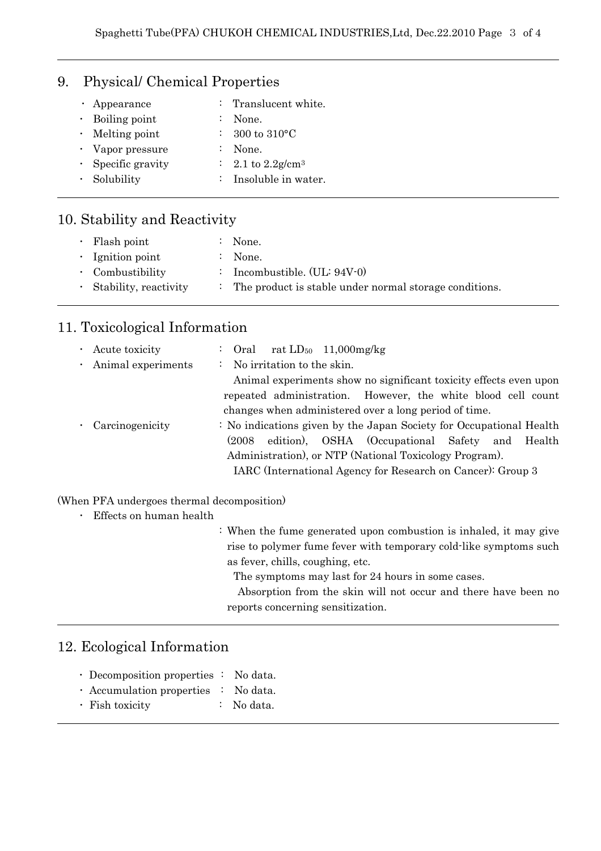## 9. Physical/ Chemical Properties

| $\cdot$ Appearance       | : Translucent white.             |
|--------------------------|----------------------------------|
| $\cdot$ Boiling point    | $:$ None.                        |
| $\cdot$ Melting point    | : 300 to 310 $^{\circ}$ C        |
| • Vapor pressure         | $:$ None.                        |
| $\cdot$ Specific gravity | : 2.1 to $2.2$ g/cm <sup>3</sup> |
| · Solubility             | : Insoluble in water.            |
|                          |                                  |

# 10. Stability and Reactivity

| $\cdot$ Flash point           | None.                                                    |
|-------------------------------|----------------------------------------------------------|
| $\cdot$ Ignition point        | $\therefore$ None.                                       |
| $\cdot$ Combustibility        | : Incombustible. $(UL: 94V-0)$                           |
| $\cdot$ Stability, reactivity | : The product is stable under normal storage conditions. |

# 11. Toxicological Information

|                       | $\cdot$ Acute toxicity | : Oral rat $LD_{50}$ 11,000 mg/kg                                   |
|-----------------------|------------------------|---------------------------------------------------------------------|
|                       | · Animal experiments   | : No irritation to the skin.                                        |
|                       |                        | Animal experiments show no significant toxicity effects even upon   |
|                       |                        | repeated administration. However, the white blood cell count        |
|                       |                        | changes when administered over a long period of time.               |
| $\bullet$ . $\bullet$ | Carcinogenicity        | : No indications given by the Japan Society for Occupational Health |
|                       |                        | edition), OSHA (Occupational Safety and Health<br>(2008)            |
|                       |                        | Administration), or NTP (National Toxicology Program).              |
|                       |                        | IARC (International Agency for Research on Cancer): Group 3         |
|                       |                        |                                                                     |

#### (When PFA undergoes thermal decomposition)

| Effects on human health |
|-------------------------|
|-------------------------|

| : When the fume generated upon combustion is inhaled, it may give |
|-------------------------------------------------------------------|
| rise to polymer fume fever with temporary cold-like symptoms such |
| as fever, chills, coughing, etc.                                  |
| The symptoms may last for 24 hours in some cases.                 |
| Absorption from the skin will not occur and there have been no    |
| reports concerning sensitization.                                 |

# 12. Ecological Information

|  | $\cdot$ Decomposition properties : No data. |  |  |
|--|---------------------------------------------|--|--|
|  | $\mathbf{r}$ . The state of $\mathbf{r}$    |  |  |

- ・ Accumulation properties : No data.
- ・ Fish toxicity : No data.